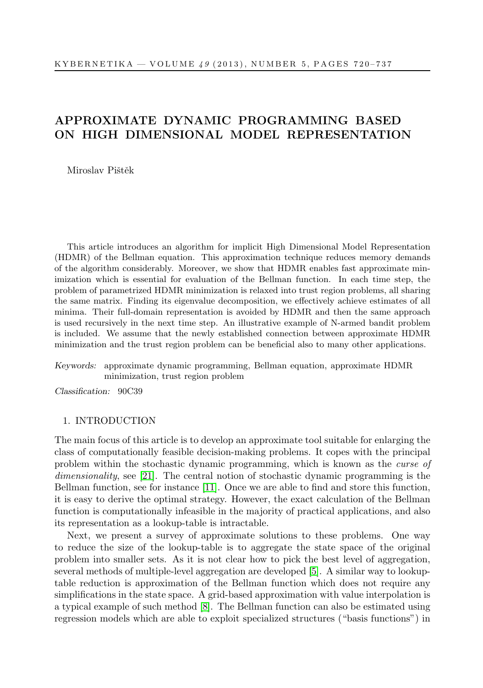# APPROXIMATE DYNAMIC PROGRAMMING BASED ON HIGH DIMENSIONAL MODEL REPRESENTATION

Miroslav Pištěk

This article introduces an algorithm for implicit High Dimensional Model Representation (HDMR) of the Bellman equation. This approximation technique reduces memory demands of the algorithm considerably. Moreover, we show that HDMR enables fast approximate minimization which is essential for evaluation of the Bellman function. In each time step, the problem of parametrized HDMR minimization is relaxed into trust region problems, all sharing the same matrix. Finding its eigenvalue decomposition, we effectively achieve estimates of all minima. Their full-domain representation is avoided by HDMR and then the same approach is used recursively in the next time step. An illustrative example of N-armed bandit problem is included. We assume that the newly established connection between approximate HDMR minimization and the trust region problem can be beneficial also to many other applications.

Keywords: approximate dynamic programming, Bellman equation, approximate HDMR minimization, trust region problem

Classification: 90C39

# <span id="page-0-0"></span>1. INTRODUCTION

The main focus of this article is to develop an approximate tool suitable for enlarging the class of computationally feasible decision-making problems. It copes with the principal problem within the stochastic dynamic programming, which is known as the curse of dimensionality, see [\[21\]](#page-17-0). The central notion of stochastic dynamic programming is the Bellman function, see for instance [\[11\]](#page-16-0). Once we are able to find and store this function, it is easy to derive the optimal strategy. However, the exact calculation of the Bellman function is computationally infeasible in the majority of practical applications, and also its representation as a lookup-table is intractable.

Next, we present a survey of approximate solutions to these problems. One way to reduce the size of the lookup-table is to aggregate the state space of the original problem into smaller sets. As it is not clear how to pick the best level of aggregation, several methods of multiple-level aggregation are developed [\[5\]](#page-16-1). A similar way to lookuptable reduction is approximation of the Bellman function which does not require any simplifications in the state space. A grid-based approximation with value interpolation is a typical example of such method [\[8\]](#page-16-2). The Bellman function can also be estimated using regression models which are able to exploit specialized structures ("basis functions") in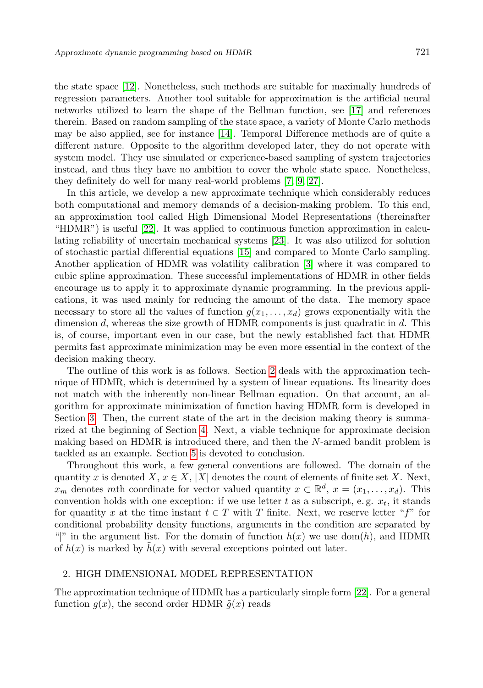the state space [\[12\]](#page-16-3). Nonetheless, such methods are suitable for maximally hundreds of regression parameters. Another tool suitable for approximation is the artificial neural networks utilized to learn the shape of the Bellman function, see [\[17\]](#page-17-1) and references therein. Based on random sampling of the state space, a variety of Monte Carlo methods may be also applied, see for instance [\[14\]](#page-17-2). Temporal Difference methods are of quite a different nature. Opposite to the algorithm developed later, they do not operate with system model. They use simulated or experience-based sampling of system trajectories instead, and thus they have no ambition to cover the whole state space. Nonetheless, they definitely do well for many real-world problems [\[7,](#page-16-4) [9,](#page-16-5) [27\]](#page-17-3).

In this article, we develop a new approximate technique which considerably reduces both computational and memory demands of a decision-making problem. To this end, an approximation tool called High Dimensional Model Representations (thereinafter "HDMR") is useful [\[22\]](#page-17-4). It was applied to continuous function approximation in calculating reliability of uncertain mechanical systems [\[23\]](#page-17-5). It was also utilized for solution of stochastic partial differential equations [\[15\]](#page-17-6) and compared to Monte Carlo sampling. Another application of HDMR was volatility calibration [\[3\]](#page-16-6) where it was compared to cubic spline approximation. These successful implementations of HDMR in other fields encourage us to apply it to approximate dynamic programming. In the previous applications, it was used mainly for reducing the amount of the data. The memory space necessary to store all the values of function  $g(x_1, \ldots, x_d)$  grows exponentially with the dimension  $d$ , whereas the size growth of HDMR components is just quadratic in  $d$ . This is, of course, important even in our case, but the newly established fact that HDMR permits fast approximate minimization may be even more essential in the context of the decision making theory.

The outline of this work is as follows. Section [2](#page-1-0) deals with the approximation technique of HDMR, which is determined by a system of linear equations. Its linearity does not match with the inherently non-linear Bellman equation. On that account, an algorithm for approximate minimization of function having HDMR form is developed in Section [3.](#page-4-0) Then, the current state of the art in the decision making theory is summarized at the beginning of Section [4.](#page-9-0) Next, a viable technique for approximate decision making based on HDMR is introduced there, and then the N-armed bandit problem is tackled as an example. Section [5](#page-15-0) is devoted to conclusion.

Throughout this work, a few general conventions are followed. The domain of the quantity x is denoted  $X, x \in X, |X|$  denotes the count of elements of finite set X. Next,  $x_m$  denotes mth coordinate for vector valued quantity  $x \in \mathbb{R}^d$ ,  $x = (x_1, \ldots, x_d)$ . This convention holds with one exception: if we use letter t as a subscript, e.g.  $x_t$ , it stands for quantity x at the time instant  $t \in T$  with T finite. Next, we reserve letter "f" for conditional probability density functions, arguments in the condition are separated by "|" in the argument list. For the domain of function  $h(x)$  we use dom(h), and HDMR of  $h(x)$  is marked by  $h(x)$  with several exceptions pointed out later.

# <span id="page-1-0"></span>2. HIGH DIMENSIONAL MODEL REPRESENTATION

The approximation technique of HDMR has a particularly simple form [\[22\]](#page-17-4). For a general function  $g(x)$ , the second order HDMR  $\tilde{g}(x)$  reads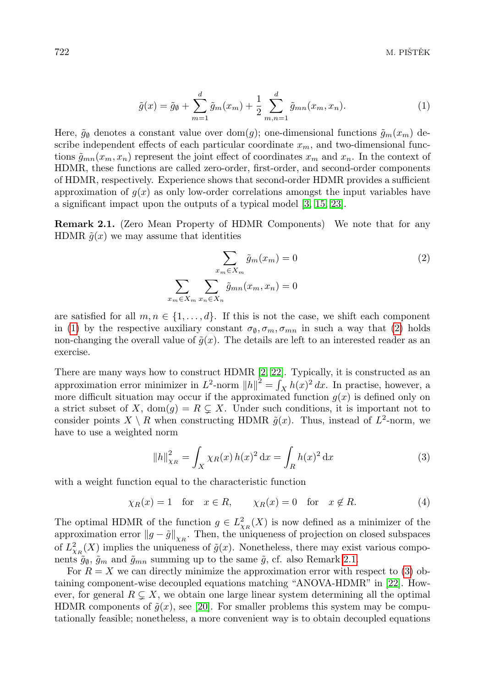<span id="page-2-0"></span>
$$
\tilde{g}(x) = \tilde{g}_{\emptyset} + \sum_{m=1}^{d} \tilde{g}_{m}(x_{m}) + \frac{1}{2} \sum_{m,n=1}^{d} \tilde{g}_{mn}(x_{m}, x_{n}).
$$
\n(1)

Here,  $\tilde{g}_\emptyset$  denotes a constant value over dom(g); one-dimensional functions  $\tilde{g}_m(x_m)$  describe independent effects of each particular coordinate  $x_m$ , and two-dimensional functions  $\tilde{g}_{mn}(x_m, x_n)$  represent the joint effect of coordinates  $x_m$  and  $x_n$ . In the context of HDMR, these functions are called zero-order, first-order, and second-order components of HDMR, respectively. Experience shows that second-order HDMR provides a sufficient approximation of  $g(x)$  as only low-order correlations amongst the input variables have a significant impact upon the outputs of a typical model [\[3,](#page-16-6) [15,](#page-17-6) [23\]](#page-17-5).

<span id="page-2-2"></span>Remark 2.1. (Zero Mean Property of HDMR Components) We note that for any HDMR  $\tilde{g}(x)$  we may assume that identities

<span id="page-2-1"></span>
$$
\sum_{x_m \in X_m} \tilde{g}_m(x_m) = 0
$$
\n
$$
\sum_{x_m \in X_m} \sum_{x_n \in X_n} \tilde{g}_{mn}(x_m, x_n) = 0
$$
\n(2)

are satisfied for all  $m, n \in \{1, \ldots, d\}$ . If this is not the case, we shift each component in [\(1\)](#page-2-0) by the respective auxiliary constant  $\sigma_{\emptyset}, \sigma_m, \sigma_{mn}$  in such a way that [\(2\)](#page-2-1) holds non-changing the overall value of  $\tilde{g}(x)$ . The details are left to an interested reader as an exercise.

There are many ways how to construct HDMR [\[2,](#page-16-7) [22\]](#page-17-4). Typically, it is constructed as an approximation error minimizer in  $L^2$ -norm  $||h||^2 = \int_X h(x)^2 dx$ . In practise, however, a more difficult situation may occur if the approximated function  $g(x)$  is defined only on a strict subset of X,  $dom(q) = R \subsetneq X$ . Under such conditions, it is important not to consider points  $X \setminus R$  when constructing HDMR  $\tilde{g}(x)$ . Thus, instead of  $L^2$ -norm, we have to use a weighted norm

<span id="page-2-3"></span>
$$
||h||_{\chi_R}^2 = \int_X \chi_R(x) h(x)^2 dx = \int_R h(x)^2 dx
$$
 (3)

with a weight function equal to the characteristic function

$$
\chi_R(x) = 1 \quad \text{for} \quad x \in R, \qquad \chi_R(x) = 0 \quad \text{for} \quad x \notin R. \tag{4}
$$

The optimal HDMR of the function  $g \in L^2_{\chi_R}(X)$  is now defined as a minimizer of the approximation error  $||g - \tilde{g}||_{\chi_R}$ . Then, the uniqueness of projection on closed subspaces of  $L^2_{\chi_R}(X)$  implies the uniqueness of  $\tilde{g}(x)$ . Nonetheless, there may exist various components  $\tilde{g}_{\emptyset}$ ,  $\tilde{g}_m$  and  $\tilde{g}_{mn}$  summing up to the same  $\tilde{g}$ , cf. also Remark [2.1.](#page-2-2)

For  $R = X$  we can directly minimize the approximation error with respect to [\(3\)](#page-2-3) obtaining component-wise decoupled equations matching "ANOVA-HDMR" in [\[22\]](#page-17-4). However, for general  $R \subsetneq X$ , we obtain one large linear system determining all the optimal HDMR components of  $\tilde{g}(x)$ , see [\[20\]](#page-17-7). For smaller problems this system may be computationally feasible; nonetheless, a more convenient way is to obtain decoupled equations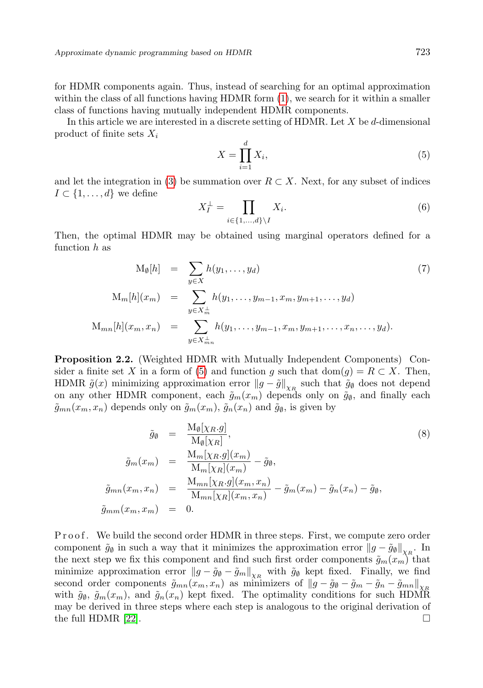for HDMR components again. Thus, instead of searching for an optimal approximation within the class of all functions having HDMR form  $(1)$ , we search for it within a smaller class of functions having mutually independent HDMR components.

In this article we are interested in a discrete setting of HDMR. Let  $X$  be  $d$ -dimensional product of finite sets  $X_i$ 

<span id="page-3-0"></span>
$$
X = \prod_{i=1}^{d} X_i,
$$
\n<sup>(5)</sup>

and let the integration in [\(3\)](#page-2-3) be summation over  $R \subset X$ . Next, for any subset of indices  $I \subset \{1, \ldots, d\}$  we define

$$
X_I^{\perp} = \prod_{i \in \{1, \dots, d\} \setminus I} X_i. \tag{6}
$$

Then, the optimal HDMR may be obtained using marginal operators defined for a function  $h$  as

$$
M_{\emptyset}[h] = \sum_{y \in X} h(y_1, \dots, y_d)
$$
\n
$$
M_m[h](x_m) = \sum_{y \in X_m^{\perp}} h(y_1, \dots, y_{m-1}, x_m, y_{m+1}, \dots, y_d)
$$
\n
$$
M_{mn}[h](x_m, x_n) = \sum_{y \in X_{mn}^{\perp}} h(y_1, \dots, y_{m-1}, x_m, y_{m+1}, \dots, x_n, \dots, y_d).
$$
\n(7)

<span id="page-3-2"></span>Proposition 2.2. (Weighted HDMR with Mutually Independent Components) Con-sider a finite set X in a form of [\(5\)](#page-3-0) and function g such that dom(g) =  $R \subset X$ . Then, HDMR  $\tilde{g}(x)$  minimizing approximation error  $||g - \tilde{g}||_{\chi_R}$  such that  $\tilde{g}_{\emptyset}$  does not depend on any other HDMR component, each  $\tilde{g}_m(x_m)$  depends only on  $\tilde{g}_{\emptyset}$ , and finally each  $\tilde{g}_{mn}(x_m, x_n)$  depends only on  $\tilde{g}_m(x_m)$ ,  $\tilde{g}_n(x_n)$  and  $\tilde{g}_\emptyset$ , is given by

<span id="page-3-1"></span>
$$
\tilde{g}_{\emptyset} = \frac{\mathcal{M}_{\emptyset}[\chi_R g]}{\mathcal{M}_{\emptyset}[\chi_R]},
$$
\n
$$
\tilde{g}_m(x_m) = \frac{\mathcal{M}_m[\chi_R g](x_m)}{\mathcal{M}_m[\chi_R](x_m)} - \tilde{g}_{\emptyset},
$$
\n
$$
\tilde{g}_{mn}(x_m, x_n) = \frac{\mathcal{M}_{mn}[\chi_R g](x_m, x_n)}{\mathcal{M}_{mn}[\chi_R](x_m, x_n)} - \tilde{g}_m(x_m) - \tilde{g}_n(x_n) - \tilde{g}_{\emptyset},
$$
\n
$$
\tilde{g}_{mm}(x_m, x_m) = 0.
$$
\n(8)

P r o o f. We build the second order HDMR in three steps. First, we compute zero order component  $\tilde{g}_{\emptyset}$  in such a way that it minimizes the approximation error  $||g - \tilde{g}_{\emptyset}||_{\chi_R}$ . In the next step we fix this component and find such first order components  $\tilde{g}_m(x_m)$  that minimize approximation error  $||g - \tilde{g}_{\emptyset} - \tilde{g}_{m}||_{\chi_{R}}$  with  $\tilde{g}_{\emptyset}$  kept fixed. Finally, we find second order components  $\tilde{g}_{mn}(x_m, x_n)$  as minimizers of  $||g - \tilde{g}_\theta - \tilde{g}_m - \tilde{g}_n - \tilde{g}_{mn}||_{X_R}$ with  $\tilde{g}_{\emptyset}$ ,  $\tilde{g}_m(x_m)$ , and  $\tilde{g}_n(x_n)$  kept fixed. The optimality conditions for such HDMR may be derived in three steps where each step is analogous to the original derivation of the full HDMR [\[22\]](#page-17-4).  $\Box$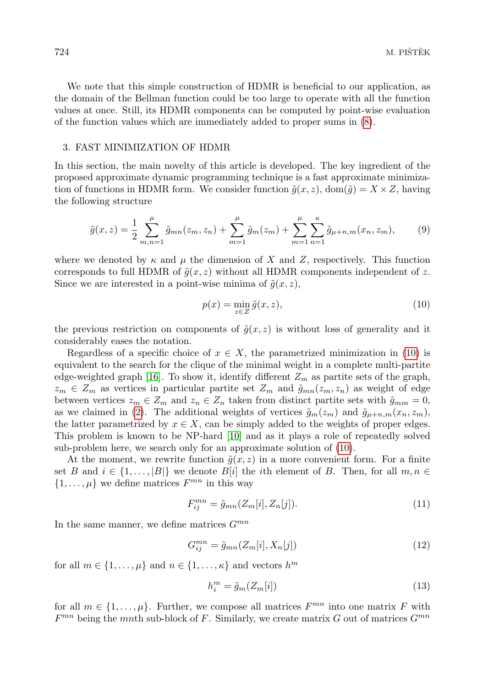We note that this simple construction of HDMR is beneficial to our application, as the domain of the Bellman function could be too large to operate with all the function values at once. Still, its HDMR components can be computed by point-wise evaluation of the function values which are immediately added to proper sums in [\(8\)](#page-3-1).

## <span id="page-4-0"></span>3. FAST MINIMIZATION OF HDMR

In this section, the main novelty of this article is developed. The key ingredient of the proposed approximate dynamic programming technique is a fast approximate minimization of functions in HDMR form. We consider function  $\tilde{q}(x, z)$ , dom $(\tilde{q}) = X \times Z$ , having the following structure

<span id="page-4-2"></span>
$$
\tilde{g}(x,z) = \frac{1}{2} \sum_{m,n=1}^{\mu} \tilde{g}_{mn}(z_m, z_n) + \sum_{m=1}^{\mu} \tilde{g}_m(z_m) + \sum_{m=1}^{\mu} \sum_{n=1}^{\kappa} \tilde{g}_{\mu+n,m}(x_n, z_m),
$$
(9)

where we denoted by  $\kappa$  and  $\mu$  the dimension of X and Z, respectively. This function corresponds to full HDMR of  $\tilde{q}(x, z)$  without all HDMR components independent of z. Since we are interested in a point-wise minima of  $\tilde{g}(x, z)$ ,

<span id="page-4-1"></span>
$$
p(x) = \min_{z \in Z} \tilde{g}(x, z),\tag{10}
$$

the previous restriction on components of  $\tilde{g}(x, z)$  is without loss of generality and it considerably eases the notation.

Regardless of a specific choice of  $x \in X$ , the parametrized minimization in [\(10\)](#page-4-1) is equivalent to the search for the clique of the minimal weight in a complete multi-partite edge-weighted graph [\[16\]](#page-17-8). To show it, identify different  $Z_m$  as partite sets of the graph,  $z_m \in Z_m$  as vertices in particular partite set  $Z_m$  and  $\tilde{g}_{mn}(z_m, z_n)$  as weight of edge between vertices  $z_m \in Z_m$  and  $z_n \in Z_n$  taken from distinct partite sets with  $\tilde{g}_{mm} = 0$ , as we claimed in [\(2\)](#page-2-1). The additional weights of vertices  $\tilde{g}_m(z_m)$  and  $\tilde{g}_{\mu+n,m}(x_n, z_m)$ , the latter parametrized by  $x \in X$ , can be simply added to the weights of proper edges. This problem is known to be NP-hard [\[10\]](#page-16-8) and as it plays a role of repeatedly solved sub-problem here, we search only for an approximate solution of [\(10\)](#page-4-1).

At the moment, we rewrite function  $\tilde{g}(x, z)$  in a more convenient form. For a finite set B and  $i \in \{1, \ldots, |B|\}$  we denote  $B[i]$  the *i*th element of B. Then, for all  $m, n \in$  $\{1,\ldots,\mu\}$  we define matrices  $F^{mn}$  in this way

<span id="page-4-3"></span>
$$
F_{ij}^{mn} = \tilde{g}_{mn}(Z_m[i], Z_n[j]).
$$
\n
$$
(11)
$$

In the same manner, we define matrices  $G^{mn}$ 

<span id="page-4-4"></span>
$$
G_{ij}^{mn} = \tilde{g}_{mn}(Z_m[i], X_n[j])
$$
\n<sup>(12)</sup>

for all  $m \in \{1, \ldots, \mu\}$  and  $n \in \{1, \ldots, \kappa\}$  and vectors  $h^m$ 

<span id="page-4-5"></span>
$$
h_i^m = \tilde{g}_m(Z_m[i])\tag{13}
$$

for all  $m \in \{1, \ldots, \mu\}$ . Further, we compose all matrices  $F^{mn}$  into one matrix F with  $F^{mn}$  being the mnth sub-block of F. Similarly, we create matrix G out of matrices  $G^{mn}$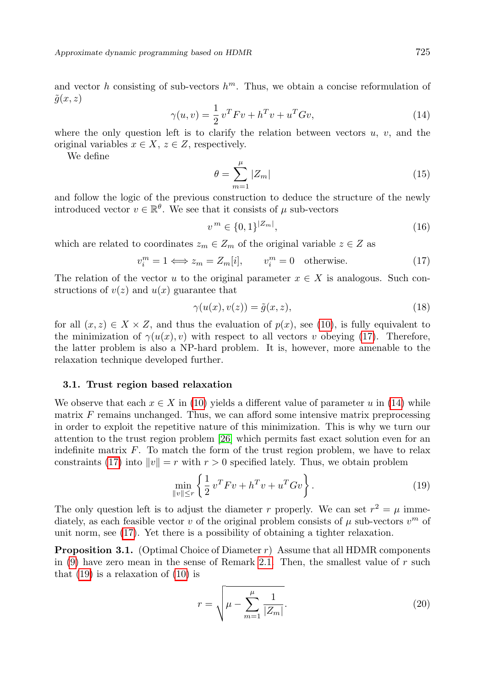Approximate dynamic programming based on HDMR 725

<span id="page-5-1"></span>
$$
\gamma(u,v) = \frac{1}{2}v^T F v + h^T v + u^T G v,
$$
\n(14)

where the only question left is to clarify the relation between vectors  $u, v$ , and the original variables  $x \in X$ ,  $z \in Z$ , respectively.

We define

<span id="page-5-4"></span>
$$
\theta = \sum_{m=1}^{\mu} |Z_m| \tag{15}
$$

and follow the logic of the previous construction to deduce the structure of the newly introduced vector  $v \in \mathbb{R}^{\theta}$ . We see that it consists of  $\mu$  sub-vectors

$$
v^m \in \{0, 1\}^{|Z_m|},\tag{16}
$$

which are related to coordinates  $z_m \in Z_m$  of the original variable  $z \in Z$  as

<span id="page-5-0"></span>
$$
v_i^m = 1 \Longleftrightarrow z_m = Z_m[i], \qquad v_i^m = 0 \quad \text{otherwise.} \tag{17}
$$

The relation of the vector u to the original parameter  $x \in X$  is analogous. Such constructions of  $v(z)$  and  $u(x)$  guarantee that

$$
\gamma(u(x), v(z)) = \tilde{g}(x, z),\tag{18}
$$

for all  $(x, z) \in X \times Z$ , and thus the evaluation of  $p(x)$ , see [\(10\)](#page-4-1), is fully equivalent to the minimization of  $\gamma(u(x), v)$  with respect to all vectors v obeying [\(17\)](#page-5-0). Therefore, the latter problem is also a NP-hard problem. It is, however, more amenable to the relaxation technique developed further.

### <span id="page-5-5"></span>3.1. Trust region based relaxation

We observe that each  $x \in X$  in [\(10\)](#page-4-1) yields a different value of parameter u in [\(14\)](#page-5-1) while matrix  $F$  remains unchanged. Thus, we can afford some intensive matrix preprocessing in order to exploit the repetitive nature of this minimization. This is why we turn our attention to the trust region problem [\[26\]](#page-17-9) which permits fast exact solution even for an indefinite matrix  $F$ . To match the form of the trust region problem, we have to relax constraints [\(17\)](#page-5-0) into  $||v|| = r$  with  $r > 0$  specified lately. Thus, we obtain problem

<span id="page-5-2"></span>
$$
\min_{\|v\| \le r} \left\{ \frac{1}{2} v^T F v + h^T v + u^T G v \right\}.
$$
\n(19)

The only question left is to adjust the diameter r properly. We can set  $r^2 = \mu$  immediately, as each feasible vector v of the original problem consists of  $\mu$  sub-vectors  $v^m$  of unit norm, see [\(17\)](#page-5-0). Yet there is a possibility of obtaining a tighter relaxation.

<span id="page-5-3"></span>**Proposition 3.1.** (Optimal Choice of Diameter r) Assume that all HDMR components in  $(9)$  have zero mean in the sense of Remark [2.1.](#page-2-2) Then, the smallest value of r such that  $(19)$  is a relaxation of  $(10)$  is

$$
r = \sqrt{\mu - \sum_{m=1}^{\mu} \frac{1}{|Z_m|}}.
$$
 (20)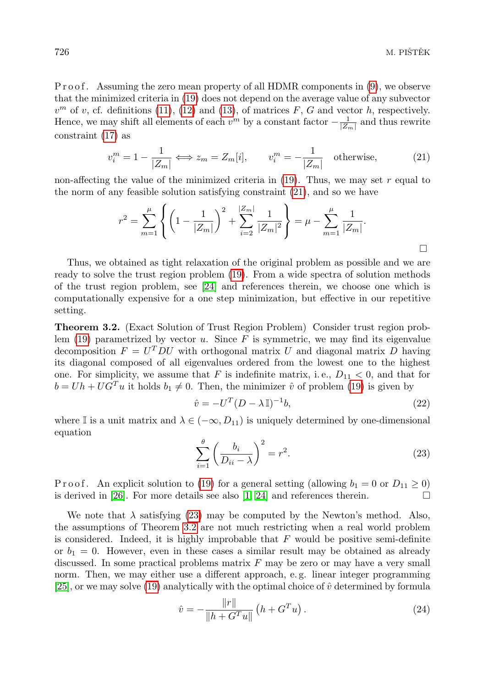P r o o f. Assuming the zero mean property of all HDMR components in [\(9\)](#page-4-2), we observe that the minimized criteria in [\(19\)](#page-5-2) does not depend on the average value of any subvector  $v<sup>m</sup>$  of v, cf. definitions [\(11\)](#page-4-3), [\(12\)](#page-4-4) and [\(13\)](#page-4-5), of matrices F, G and vector h, respectively. Hence, we may shift all elements of each  $v^m$  by a constant factor  $-\frac{1}{|Z_m|}$  and thus rewrite constraint [\(17\)](#page-5-0) as

<span id="page-6-0"></span>
$$
v_i^m = 1 - \frac{1}{|Z_m|} \Longleftrightarrow z_m = Z_m[i], \qquad v_i^m = -\frac{1}{|Z_m|} \quad \text{otherwise}, \tag{21}
$$

non-affecting the value of the minimized criteria in  $(19)$ . Thus, we may set r equal to the norm of any feasible solution satisfying constraint [\(21\)](#page-6-0), and so we have

$$
r^{2} = \sum_{m=1}^{\mu} \left\{ \left( 1 - \frac{1}{|Z_{m}|} \right)^{2} + \sum_{i=2}^{|Z_{m}|} \frac{1}{|Z_{m}|^{2}} \right\} = \mu - \sum_{m=1}^{\mu} \frac{1}{|Z_{m}|}.
$$

Thus, we obtained as tight relaxation of the original problem as possible and we are ready to solve the trust region problem [\(19\)](#page-5-2). From a wide spectra of solution methods of the trust region problem, see [\[24\]](#page-17-10) and references therein, we choose one which is computationally expensive for a one step minimization, but effective in our repetitive setting.

<span id="page-6-2"></span>Theorem 3.2. (Exact Solution of Trust Region Problem) Consider trust region problem  $(19)$  parametrized by vector u. Since F is symmetric, we may find its eigenvalue decomposition  $F = U^T D U$  with orthogonal matrix U and diagonal matrix D having its diagonal composed of all eigenvalues ordered from the lowest one to the highest one. For simplicity, we assume that F is indefinite matrix, i.e.,  $D_{11} < 0$ , and that for  $b = Uh + UG^{T}u$  it holds  $b_1 \neq 0$ . Then, the minimizer  $\hat{v}$  of problem [\(19\)](#page-5-2) is given by

<span id="page-6-3"></span>
$$
\hat{v} = -U^T (D - \lambda \mathbb{I})^{-1} b,\tag{22}
$$

where I is a unit matrix and  $\lambda \in (-\infty, D_{11})$  is uniquely determined by one-dimensional equation

<span id="page-6-1"></span>
$$
\sum_{i=1}^{\theta} \left( \frac{b_i}{D_{ii} - \lambda} \right)^2 = r^2.
$$
\n(23)

P r o o f. An explicit solution to [\(19\)](#page-5-2) for a general setting (allowing  $b_1 = 0$  or  $D_{11} \ge 0$ ) is derived in [\[26\]](#page-17-9). For more details see also [\[1,](#page-16-9) [24\]](#page-17-10) and references therein.  $\Box$ 

We note that  $\lambda$  satisfying [\(23\)](#page-6-1) may be computed by the Newton's method. Also, the assumptions of Theorem [3.2](#page-6-2) are not much restricting when a real world problem is considered. Indeed, it is highly improbable that  $F$  would be positive semi-definite or  $b_1 = 0$ . However, even in these cases a similar result may be obtained as already discussed. In some practical problems matrix  $F$  may be zero or may have a very small norm. Then, we may either use a different approach, e. g. linear integer programming [\[25\]](#page-17-11), or we may solve [\(19\)](#page-5-2) analytically with the optimal choice of  $\hat{v}$  determined by formula

<span id="page-6-4"></span>
$$
\hat{v} = -\frac{\|r\|}{\|h + G^T u\|} \left( h + G^T u \right). \tag{24}
$$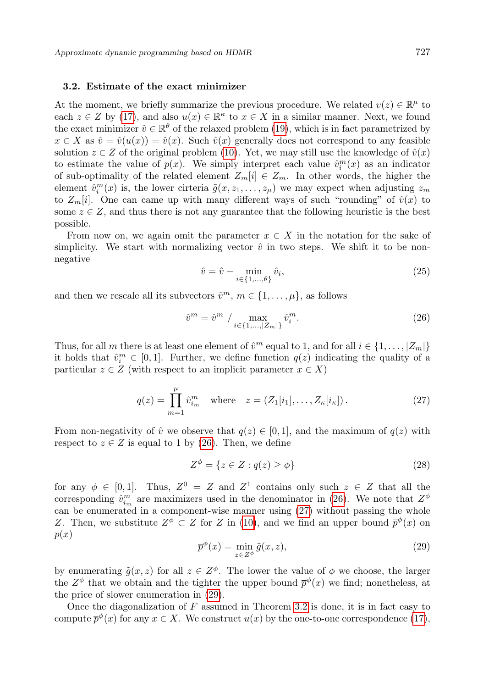### 3.2. Estimate of the exact minimizer

At the moment, we briefly summarize the previous procedure. We related  $v(z) \in \mathbb{R}^{\mu}$  to each  $z \in Z$  by [\(17\)](#page-5-0), and also  $u(x) \in \mathbb{R}^k$  to  $x \in X$  in a similar manner. Next, we found the exact minimizer  $\hat{v} \in \mathbb{R}^{\theta}$  of the relaxed problem [\(19\)](#page-5-2), which is in fact parametrized by  $x \in X$  as  $\hat{v} = \hat{v}(u(x)) = \hat{v}(x)$ . Such  $\hat{v}(x)$  generally does not correspond to any feasible solution  $z \in Z$  of the original problem [\(10\)](#page-4-1). Yet, we may still use the knowledge of  $\hat{v}(x)$ to estimate the value of  $p(x)$ . We simply interpret each value  $\hat{v}_i^m(x)$  as an indicator of sub-optimality of the related element  $Z_m[i] \in Z_m$ . In other words, the higher the element  $\hat{v}_i^m(x)$  is, the lower cirteria  $\tilde{g}(x, z_1, \ldots, z_\mu)$  we may expect when adjusting  $z_m$ to  $Z_m[i]$ . One can came up with many different ways of such "rounding" of  $\hat{v}(x)$  to some  $z \in \mathbb{Z}$ , and thus there is not any guarantee that the following heuristic is the best possible.

From now on, we again omit the parameter  $x \in X$  in the notation for the sake of simplicity. We start with normalizing vector  $\hat{v}$  in two steps. We shift it to be nonnegative

$$
\hat{v} = \hat{v} - \min_{i \in \{1, \dots, \theta\}} \hat{v}_i,\tag{25}
$$

and then we rescale all its subvectors  $\hat{v}^m$ ,  $m \in \{1, \ldots, \mu\}$ , as follows

<span id="page-7-0"></span>
$$
\hat{v}^m = \hat{v}^m / \max_{i \in \{1, \dots, |Z_m|\}} \hat{v}_i^m.
$$
\n(26)

Thus, for all m there is at least one element of  $\hat{v}^m$  equal to 1, and for all  $i \in \{1, \ldots, |Z_m|\}$ it holds that  $\hat{v}_i^m \in [0,1]$ . Further, we define function  $q(z)$  indicating the quality of a particular  $z \in Z$  (with respect to an implicit parameter  $x \in X$ )

<span id="page-7-1"></span>
$$
q(z) = \prod_{m=1}^{\mu} \hat{v}_{i_m}^m \quad \text{where} \quad z = (Z_1[i_1], \dots, Z_{\kappa}[i_{\kappa}]).
$$
 (27)

From non-negativity of  $\hat{v}$  we observe that  $q(z) \in [0, 1]$ , and the maximum of  $q(z)$  with respect to  $z \in Z$  is equal to 1 by [\(26\)](#page-7-0). Then, we define

$$
Z^{\phi} = \{ z \in Z : q(z) \ge \phi \}
$$
\n
$$
(28)
$$

for any  $\phi \in [0,1]$ . Thus,  $Z^0 = Z$  and  $Z^1$  contains only such  $z \in Z$  that all the corresponding  $\hat{v}_{i_m}^m$  are maximizers used in the denominator in [\(26\)](#page-7-0). We note that  $Z^{\phi}$ can be enumerated in a component-wise manner using [\(27\)](#page-7-1) without passing the whole Z. Then, we substitute  $Z^{\phi} \subset Z$  for Z in [\(10\)](#page-4-1), and we find an upper bound  $\bar{p}^{\phi}(x)$  on  $p(x)$ 

<span id="page-7-2"></span>
$$
\overline{p}^{\phi}(x) = \min_{z \in Z^{\phi}} \tilde{g}(x, z),\tag{29}
$$

by enumerating  $\tilde{g}(x, z)$  for all  $z \in Z^{\phi}$ . The lower the value of  $\phi$  we choose, the larger the  $Z^{\phi}$  that we obtain and the tighter the upper bound  $\bar{p}^{\phi}(x)$  we find; nonetheless, at the price of slower enumeration in [\(29\)](#page-7-2).

Once the diagonalization of  $F$  assumed in Theorem [3.2](#page-6-2) is done, it is in fact easy to compute  $\overline{p}^{\phi}(x)$  for any  $x \in X$ . We construct  $u(x)$  by the one-to-one correspondence [\(17\)](#page-5-0),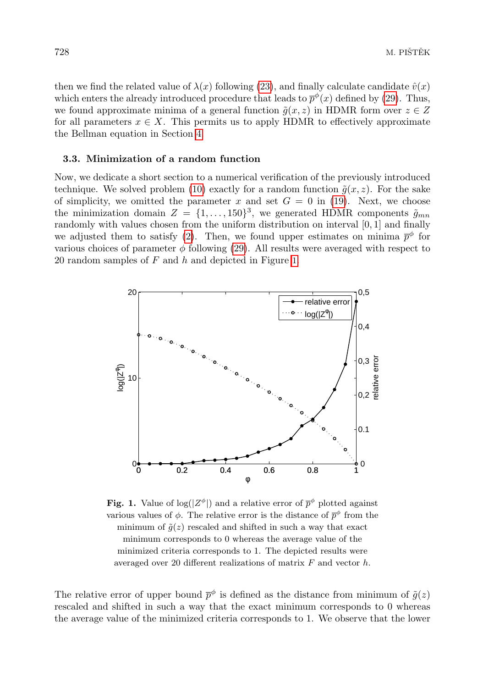then we find the related value of  $\lambda(x)$  following [\(23\)](#page-6-1), and finally calculate candidate  $\hat{v}(x)$ which enters the already introduced procedure that leads to  $\bar{p}^{\phi}(x)$  defined by [\(29\)](#page-7-2). Thus, we found approximate minima of a general function  $\tilde{g}(x, z)$  in HDMR form over  $z \in Z$ for all parameters  $x \in X$ . This permits us to apply HDMR to effectively approximate the Bellman equation in Section [4.](#page-9-0)

## 3.3. Minimization of a random function

Now, we dedicate a short section to a numerical verification of the previously introduced technique. We solved problem [\(10\)](#page-4-1) exactly for a random function  $\tilde{q}(x, z)$ . For the sake of simplicity, we omitted the parameter x and set  $G = 0$  in [\(19\)](#page-5-2). Next, we choose the minimization domain  $Z = \{1, \ldots, 150\}^3$ , we generated HDMR components  $\tilde{g}_{mn}$ randomly with values chosen from the uniform distribution on interval [0, 1] and finally we adjusted them to satisfy [\(2\)](#page-2-1). Then, we found upper estimates on minima  $\bar{p}^{\phi}$  for various choices of parameter  $\phi$  following [\(29\)](#page-7-2). All results were averaged with respect to 20 random samples of  $F$  and  $h$  and depicted in Figure [1](#page-8-0).



<span id="page-8-0"></span>**Fig. 1.** Value of  $\log(|Z^{\phi}|)$  and a relative error of  $\bar{p}^{\phi}$  plotted against various values of  $\phi$ . The relative error is the distance of  $\bar{p}^{\phi}$  from the minimum of  $\tilde{q}(z)$  rescaled and shifted in such a way that exact minimum corresponds to 0 whereas the average value of the minimized criteria corresponds to 1. The depicted results were averaged over 20 different realizations of matrix  $F$  and vector  $h$ .

The relative error of upper bound  $\bar{p}^{\phi}$  is defined as the distance from minimum of  $\tilde{g}(z)$ rescaled and shifted in such a way that the exact minimum corresponds to 0 whereas the average value of the minimized criteria corresponds to 1. We observe that the lower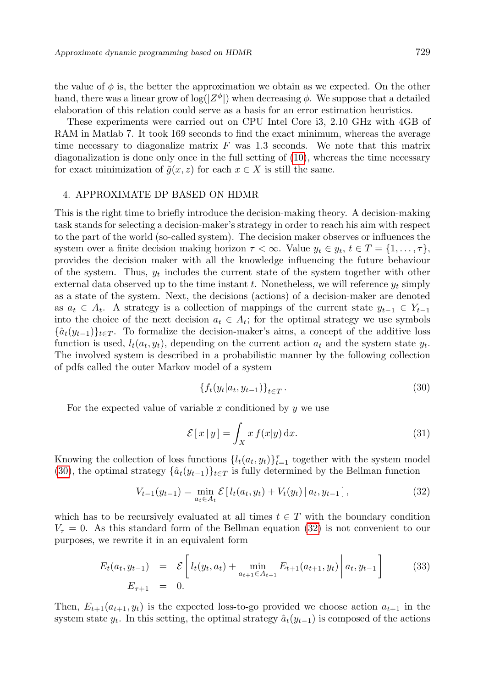the value of  $\phi$  is, the better the approximation we obtain as we expected. On the other hand, there was a linear grow of  $\log(|Z^{\phi}|)$  when decreasing  $\phi$ . We suppose that a detailed elaboration of this relation could serve as a basis for an error estimation heuristics.

These experiments were carried out on CPU Intel Core i3, 2.10 GHz with 4GB of RAM in Matlab 7. It took 169 seconds to find the exact minimum, whereas the average time necessary to diagonalize matrix  $F$  was 1.3 seconds. We note that this matrix diagonalization is done only once in the full setting of [\(10\)](#page-4-1), whereas the time necessary for exact minimization of  $\tilde{q}(x, z)$  for each  $x \in X$  is still the same.

## <span id="page-9-0"></span>4. APPROXIMATE DP BASED ON HDMR

This is the right time to briefly introduce the decision-making theory. A decision-making task stands for selecting a decision-maker's strategy in order to reach his aim with respect to the part of the world (so-called system). The decision maker observes or influences the system over a finite decision making horizon  $\tau < \infty$ . Value  $y_t \in y_t$ ,  $t \in T = \{1, \ldots, \tau\}$ , provides the decision maker with all the knowledge influencing the future behaviour of the system. Thus,  $y_t$  includes the current state of the system together with other external data observed up to the time instant t. Nonetheless, we will reference  $y_t$  simply as a state of the system. Next, the decisions (actions) of a decision-maker are denoted as  $a_t \in A_t$ . A strategy is a collection of mappings of the current state  $y_{t-1} \in Y_{t-1}$ into the choice of the next decision  $a_t \in A_t$ ; for the optimal strategy we use symbols  $\{\hat{a}_t(y_{t-1})\}_{t\in\mathcal{T}}$ . To formalize the decision-maker's aims, a concept of the additive loss function is used,  $l_t(a_t, y_t)$ , depending on the current action  $a_t$  and the system state  $y_t$ . The involved system is described in a probabilistic manner by the following collection of pdfs called the outer Markov model of a system

<span id="page-9-1"></span>
$$
\{f_t(y_t|a_t, y_{t-1})\}_{t \in T}.
$$
\n
$$
(30)
$$

For the expected value of variable x conditioned by  $y$  we use

$$
\mathcal{E}[x|y] = \int_{X} x f(x|y) dx.
$$
 (31)

Knowing the collection of loss functions  $\{l_t(a_t, y_t)\}_{t=1}^{\tau}$  together with the system model [\(30\)](#page-9-1), the optimal strategy  $\{\hat{a}_t(y_{t-1})\}_{t\in\mathcal{T}}$  is fully determined by the Bellman function

<span id="page-9-2"></span>
$$
V_{t-1}(y_{t-1}) = \min_{a_t \in A_t} \mathcal{E}\left[l_t(a_t, y_t) + V_t(y_t) \,|\, a_t, y_{t-1}\right],\tag{32}
$$

which has to be recursively evaluated at all times  $t \in T$  with the boundary condition  $V_{\tau} = 0$ . As this standard form of the Bellman equation [\(32\)](#page-9-2) is not convenient to our purposes, we rewrite it in an equivalent form

<span id="page-9-3"></span>
$$
E_t(a_t, y_{t-1}) = \mathcal{E}\left[l_t(y_t, a_t) + \min_{a_{t+1} \in A_{t+1}} E_{t+1}(a_{t+1}, y_t)\middle| a_t, y_{t-1}\right]
$$
(33)  

$$
E_{\tau+1} = 0.
$$

Then,  $E_{t+1}(a_{t+1}, y_t)$  is the expected loss-to-go provided we choose action  $a_{t+1}$  in the system state  $y_t$ . In this setting, the optimal strategy  $\hat{a}_t(y_{t-1})$  is composed of the actions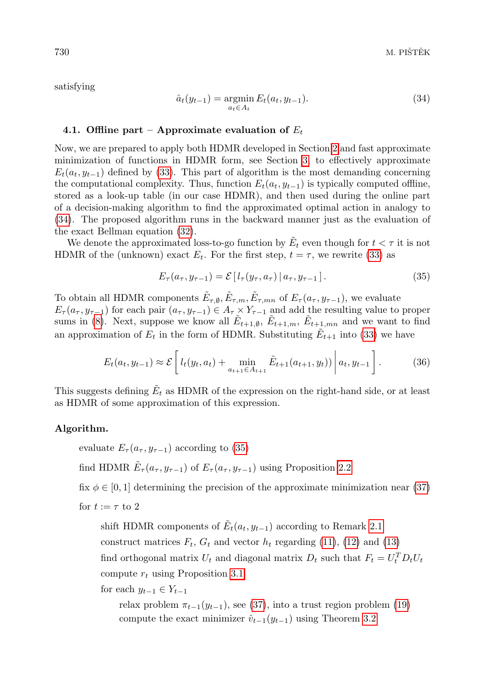satisfying

<span id="page-10-0"></span>
$$
\hat{a}_t(y_{t-1}) = \underset{a_t \in A_t}{\text{argmin}} E_t(a_t, y_{t-1}).
$$
\n(34)

# <span id="page-10-3"></span>4.1. Offline part – Approximate evaluation of  $E_t$

Now, we are prepared to apply both HDMR developed in Section [2](#page-1-0) and fast approximate minimization of functions in HDMR form, see Section [3,](#page-4-0) to effectively approximate  $E_t(a_t, y_{t-1})$  defined by [\(33\)](#page-9-3). This part of algorithm is the most demanding concerning the computational complexity. Thus, function  $E_t(a_t, y_{t-1})$  is typically computed offline, stored as a look-up table (in our case HDMR), and then used during the online part of a decision-making algorithm to find the approximated optimal action in analogy to [\(34\)](#page-10-0). The proposed algorithm runs in the backward manner just as the evaluation of the exact Bellman equation [\(32\)](#page-9-2).

We denote the approximated loss-to-go function by  $\tilde{E}_t$  even though for  $t < \tau$  it is not HDMR of the (unknown) exact  $E_t$ . For the first step,  $t = \tau$ , we rewrite [\(33\)](#page-9-3) as

<span id="page-10-1"></span>
$$
E_{\tau}(a_{\tau}, y_{\tau-1}) = \mathcal{E}[l_{\tau}(y_{\tau}, a_{\tau}) | a_{\tau}, y_{\tau-1}]. \tag{35}
$$

To obtain all HDMR components  $\tilde{E}_{\tau,\emptyset}, \tilde{E}_{\tau,m}, \tilde{E}_{\tau,mn}$  of  $E_{\tau}(a_{\tau}, y_{\tau-1}),$  we evaluate  $E_{\tau}(a_{\tau}, y_{\tau-1})$  for each pair  $(a_{\tau}, y_{\tau-1}) \in A_{\tau} \times Y_{\tau-1}$  and add the resulting value to proper sums in [\(8\)](#page-3-1). Next, suppose we know all  $\tilde{E}_{t+1,\emptyset}$ ,  $\tilde{E}_{t+1,m}$ ,  $\tilde{E}_{t+1,mn}$  and we want to find an approximation of  $E_t$  in the form of HDMR. Substituting  $\tilde{E}_{t+1}$  into [\(33\)](#page-9-3) we have

<span id="page-10-2"></span>
$$
E_t(a_t, y_{t-1}) \approx \mathcal{E}\left[l_t(y_t, a_t) + \min_{a_{t+1} \in A_{t+1}} \tilde{E}_{t+1}(a_{t+1}, y_t))\middle| a_t, y_{t-1}\right].
$$
 (36)

This suggests defining  $\tilde{E}_t$  as HDMR of the expression on the right-hand side, or at least as HDMR of some approximation of this expression.

# Algorithm.

evaluate  $E_{\tau}(a_{\tau}, y_{\tau-1})$  according to [\(35\)](#page-10-1)

find HDMR  $\tilde{E}_{\tau}(a_{\tau}, y_{\tau-1})$  of  $E_{\tau}(a_{\tau}, y_{\tau-1})$  using Proposition [2.2](#page-3-2)

fix  $\phi \in [0, 1]$  determining the precision of the approximate minimization near [\(37\)](#page-11-0) for  $t := \tau$  to 2

shift HDMR components of  $\tilde{E}_t(a_t, y_{t-1})$  according to Remark [2.1](#page-2-2)

construct matrices  $F_t$ ,  $G_t$  and vector  $h_t$  regarding [\(11\)](#page-4-3), [\(12\)](#page-4-4) and [\(13\)](#page-4-5)

find orthogonal matrix  $U_t$  and diagonal matrix  $D_t$  such that  $F_t = U_t^T D_t U_t$ 

compute  $r_t$  using Proposition [3.1](#page-5-3)

for each  $y_{t-1} \in Y_{t-1}$ 

relax problem  $\pi_{t-1}(y_{t-1})$ , see [\(37\)](#page-11-0), into a trust region problem [\(19\)](#page-5-2) compute the exact minimizer  $\hat{v}_{t-1}(y_{t-1})$  using Theorem [3.2](#page-6-2)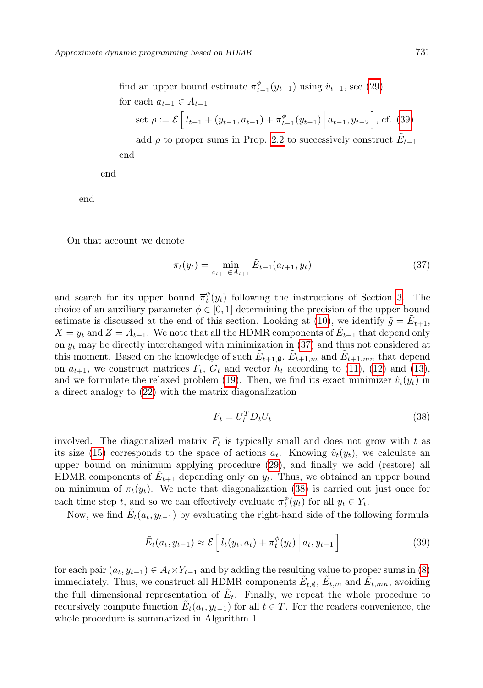find an upper bound estimate 
$$
\overline{\pi}_{t-1}^{\phi}(y_{t-1})
$$
 using  $\hat{v}_{t-1}$ , see (29)  
for each  $a_{t-1} \in A_{t-1}$   
set  $\rho := \mathcal{E} \left[ l_{t-1} + (y_{t-1}, a_{t-1}) + \overline{\pi}_{t-1}^{\phi}(y_{t-1}) \, \middle| \, a_{t-1}, y_{t-2} \right]$ , cf. (39)  
add  $\rho$  to proper sums in Prop. 2.2 to successively construct  $\tilde{E}_{t-1}$ 

end

end

end

On that account we denote

<span id="page-11-0"></span>
$$
\pi_t(y_t) = \min_{a_{t+1} \in A_{t+1}} \tilde{E}_{t+1}(a_{t+1}, y_t)
$$
\n(37)

and search for its upper bound  $\overline{\pi}_t^{\phi}(y_t)$  following the instructions of Section [3.](#page-4-0) The choice of an auxiliary parameter  $\phi \in [0, 1]$  determining the precision of the upper bound estimate is discussed at the end of this section. Looking at [\(10\)](#page-4-1), we identify  $\tilde{g} = \tilde{E}_{t+1}$ ,  $X = y_t$  and  $Z = A_{t+1}$ . We note that all the HDMR components of  $\tilde{E}_{t+1}$  that depend only on  $y_t$  may be directly interchanged with minimization in [\(37\)](#page-11-0) and thus not considered at this moment. Based on the knowledge of such  $\tilde{E}_{t+1,\emptyset}$ ,  $\tilde{E}_{t+1,m}$  and  $\tilde{E}_{t+1,mn}$  that depend on  $a_{t+1}$ , we construct matrices  $F_t$ ,  $G_t$  and vector  $h_t$  according to [\(11\)](#page-4-3), [\(12\)](#page-4-4) and [\(13\)](#page-4-5), and we formulate the relaxed problem [\(19\)](#page-5-2). Then, we find its exact minimizer  $\hat{v}_t(y_t)$  in a direct analogy to [\(22\)](#page-6-3) with the matrix diagonalization

<span id="page-11-2"></span>
$$
F_t = U_t^T D_t U_t \tag{38}
$$

involved. The diagonalized matrix  $F_t$  is typically small and does not grow with t as its size [\(15\)](#page-5-4) corresponds to the space of actions  $a_t$ . Knowing  $\hat{v}_t(y_t)$ , we calculate an upper bound on minimum applying procedure [\(29\)](#page-7-2), and finally we add (restore) all HDMR components of  $E_{t+1}$  depending only on  $y_t$ . Thus, we obtained an upper bound on minimum of  $\pi_t(y_t)$ . We note that diagonalization [\(38\)](#page-11-2) is carried out just once for each time step t, and so we can effectively evaluate  $\overline{\pi}_t^{\phi}(y_t)$  for all  $y_t \in Y_t$ .

Now, we find  $\tilde{E}_t(a_t, y_{t-1})$  by evaluating the right-hand side of the following formula

<span id="page-11-1"></span>
$$
\tilde{E}_t(a_t, y_{t-1}) \approx \mathcal{E}\left[l_t(y_t, a_t) + \overline{\pi}_t^{\phi}(y_t)\middle| a_t, y_{t-1}\right]
$$
\n(39)

for each pair  $(a_t, y_{t-1}) \in A_t \times Y_{t-1}$  and by adding the resulting value to proper sums in [\(8\)](#page-3-1) immediately. Thus, we construct all HDMR components  $\tilde{E}_{t,\emptyset}$ ,  $\tilde{E}_{t,m}$  and  $\tilde{E}_{t,mn}$ , avoiding the full dimensional representation of  $\tilde{E}_t$ . Finally, we repeat the whole procedure to recursively compute function  $\tilde{E}_t(a_t, y_{t-1})$  for all  $t \in T$ . For the readers convenience, the whole procedure is summarized in Algorithm 1.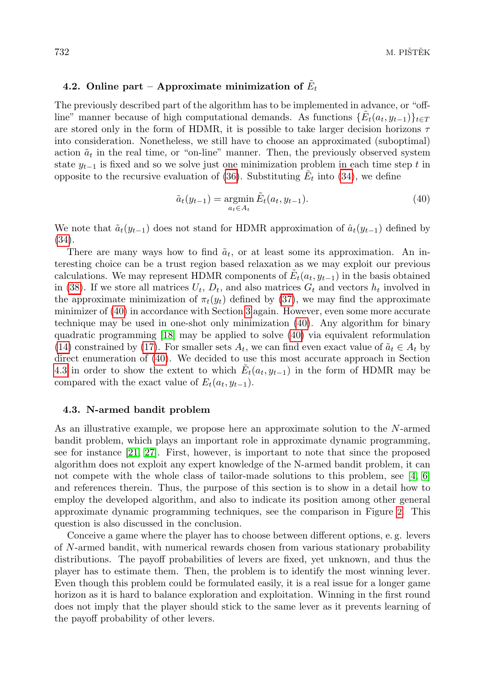# 4.2. Online part – Approximate minimization of  $\tilde{E}_t$

The previously described part of the algorithm has to be implemented in advance, or "offline" manner because of high computational demands. As functions  $\{\tilde{E}_t(a_t, y_{t-1})\}_{t\in\mathcal{I}}$ are stored only in the form of HDMR, it is possible to take larger decision horizons  $\tau$ into consideration. Nonetheless, we still have to choose an approximated (suboptimal) action  $\tilde{a}_t$  in the real time, or "on-line" manner. Then, the previously observed system state  $y_{t-1}$  is fixed and so we solve just one minimization problem in each time step t in opposite to the recursive evaluation of [\(36\)](#page-10-2). Substituting  $\tilde{E}_t$  into [\(34\)](#page-10-0), we define

<span id="page-12-0"></span>
$$
\tilde{a}_t(y_{t-1}) = \underset{a_t \in A_t}{\operatorname{argmin}} \tilde{E}_t(a_t, y_{t-1}).\tag{40}
$$

We note that  $\tilde{a}_t(y_{t-1})$  does not stand for HDMR approximation of  $\hat{a}_t(y_{t-1})$  defined by [\(34\)](#page-10-0).

There are many ways how to find  $\tilde{a}_t$ , or at least some its approximation. An interesting choice can be a trust region based relaxation as we may exploit our previous calculations. We may represent HDMR components of  $\tilde{E}_t(a_t, y_{t-1})$  in the basis obtained in [\(38\)](#page-11-2). If we store all matrices  $U_t$ ,  $D_t$ , and also matrices  $G_t$  and vectors  $h_t$  involved in the approximate minimization of  $\pi_t(y_t)$  defined by [\(37\)](#page-11-0), we may find the approximate minimizer of [\(40\)](#page-12-0) in accordance with Section [3](#page-4-0) again. However, even some more accurate technique may be used in one-shot only minimization [\(40\)](#page-12-0). Any algorithm for binary quadratic programming [\[18\]](#page-17-12) may be applied to solve [\(40\)](#page-12-0) via equivalent reformulation [\(14\)](#page-5-1) constrained by [\(17\)](#page-5-0). For smaller sets  $A_t$ , we can find even exact value of  $\tilde{a}_t \in A_t$  by direct enumeration of [\(40\)](#page-12-0). We decided to use this most accurate approach in Section [4.3](#page-12-1) in order to show the extent to which  $\tilde{E}_t(a_t, y_{t-1})$  in the form of HDMR may be compared with the exact value of  $E_t(a_t, y_{t-1})$ .

### <span id="page-12-1"></span>4.3. N-armed bandit problem

As an illustrative example, we propose here an approximate solution to the N-armed bandit problem, which plays an important role in approximate dynamic programming, see for instance [\[21,](#page-17-0) [27\]](#page-17-3). First, however, is important to note that since the proposed algorithm does not exploit any expert knowledge of the N-armed bandit problem, it can not compete with the whole class of tailor-made solutions to this problem, see [\[4,](#page-16-10) [6\]](#page-16-11) and references therein. Thus, the purpose of this section is to show in a detail how to employ the developed algorithm, and also to indicate its position among other general approximate dynamic programming techniques, see the comparison in Figure [2](#page-13-0). This question is also discussed in the conclusion.

Conceive a game where the player has to choose between different options, e. g. levers of N-armed bandit, with numerical rewards chosen from various stationary probability distributions. The payoff probabilities of levers are fixed, yet unknown, and thus the player has to estimate them. Then, the problem is to identify the most winning lever. Even though this problem could be formulated easily, it is a real issue for a longer game horizon as it is hard to balance exploration and exploitation. Winning in the first round does not imply that the player should stick to the same lever as it prevents learning of the payoff probability of other levers.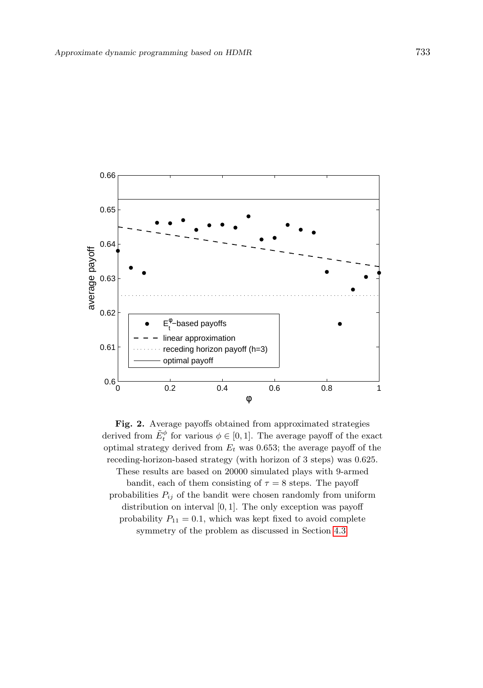

<span id="page-13-0"></span>Fig. 2. Average payoffs obtained from approximated strategies derived from  $\tilde{E}^{\phi}_t$  for various  $\phi \in [0, 1]$ . The average payoff of the exact optimal strategy derived from  $E_t$  was 0.653; the average payoff of the receding-horizon-based strategy (with horizon of 3 steps) was 0.625. These results are based on 20000 simulated plays with 9-armed bandit, each of them consisting of  $\tau = 8$  steps. The payoff probabilities  $P_{ij}$  of the bandit were chosen randomly from uniform distribution on interval [0, 1]. The only exception was payoff probability  $P_{11} = 0.1$ , which was kept fixed to avoid complete symmetry of the problem as discussed in Section [4.3.](#page-12-1)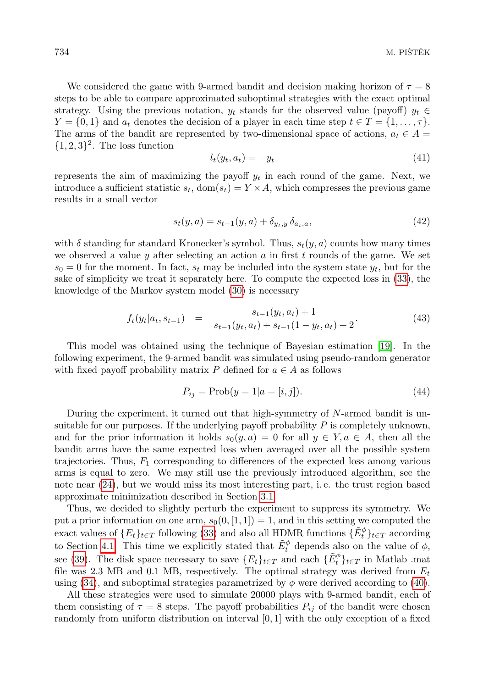We considered the game with 9-armed bandit and decision making horizon of  $\tau = 8$ steps to be able to compare approximated suboptimal strategies with the exact optimal strategy. Using the previous notation,  $y_t$  stands for the observed value (payoff)  $y_t \in$  $Y = \{0, 1\}$  and  $a_t$  denotes the decision of a player in each time step  $t \in T = \{1, \ldots, \tau\}.$ The arms of the bandit are represented by two-dimensional space of actions,  $a_t \in A$ 

$$
l_t(y_t, a_t) = -y_t \tag{41}
$$

represents the aim of maximizing the payoff  $y_t$  in each round of the game. Next, we introduce a sufficient statistic  $s_t$ , dom $(s_t) = Y \times A$ , which compresses the previous game results in a small vector

$$
s_t(y, a) = s_{t-1}(y, a) + \delta_{y_t, y} \, \delta_{a_t, a}, \tag{42}
$$

with  $\delta$  standing for standard Kronecker's symbol. Thus,  $s_t(y, a)$  counts how many times we observed a value y after selecting an action  $a$  in first  $t$  rounds of the game. We set  $s_0 = 0$  for the moment. In fact,  $s_t$  may be included into the system state  $y_t$ , but for the sake of simplicity we treat it separately here. To compute the expected loss in [\(33\)](#page-9-3), the knowledge of the Markov system model [\(30\)](#page-9-1) is necessary

$$
f_t(y_t|a_t, s_{t-1}) = \frac{s_{t-1}(y_t, a_t) + 1}{s_{t-1}(y_t, a_t) + s_{t-1}(1 - y_t, a_t) + 2}.\tag{43}
$$

This model was obtained using the technique of Bayesian estimation [\[19\]](#page-17-13). In the following experiment, the 9-armed bandit was simulated using pseudo-random generator with fixed payoff probability matrix P defined for  $a \in A$  as follows

$$
P_{ij} = \text{Prob}(y = 1 | a = [i, j]). \tag{44}
$$

During the experiment, it turned out that high-symmetry of N-armed bandit is unsuitable for our purposes. If the underlying payoff probability  $P$  is completely unknown, and for the prior information it holds  $s_0(y, a) = 0$  for all  $y \in Y, a \in A$ , then all the bandit arms have the same expected loss when averaged over all the possible system trajectories. Thus,  $F_1$  corresponding to differences of the expected loss among various arms is equal to zero. We may still use the previously introduced algorithm, see the note near [\(24\)](#page-6-4), but we would miss its most interesting part, i. e. the trust region based approximate minimization described in Section [3.1.](#page-5-5)

Thus, we decided to slightly perturb the experiment to suppress its symmetry. We put a prior information on one arm,  $s_0(0, [1, 1]) = 1$ , and in this setting we computed the exact values of  $\{E_t\}_{t \in T}$  following [\(33\)](#page-9-3) and also all HDMR functions  $\{\tilde{E}_t^{\phi}\}_{t \in T}$  according to Section [4.1.](#page-10-3) This time we explicitly stated that  $\tilde{E}^{\phi}_t$  depends also on the value of  $\phi$ , see [\(39\)](#page-11-1). The disk space necessary to save  ${E_t}_{t\in T}$  and each  ${\{\tilde{E}_t^{\phi}\}}_{t\in T}$  in Matlab .mat file was 2.3 MB and 0.1 MB, respectively. The optimal strategy was derived from  $E_t$ using [\(34\)](#page-10-0), and suboptimal strategies parametrized by  $\phi$  were derived according to [\(40\)](#page-12-0).

All these strategies were used to simulate 20000 plays with 9-armed bandit, each of them consisting of  $\tau = 8$  steps. The payoff probabilities  $P_{ij}$  of the bandit were chosen randomly from uniform distribution on interval [0, 1] with the only exception of a fixed

 $\{1,2,3\}^2$ . The loss function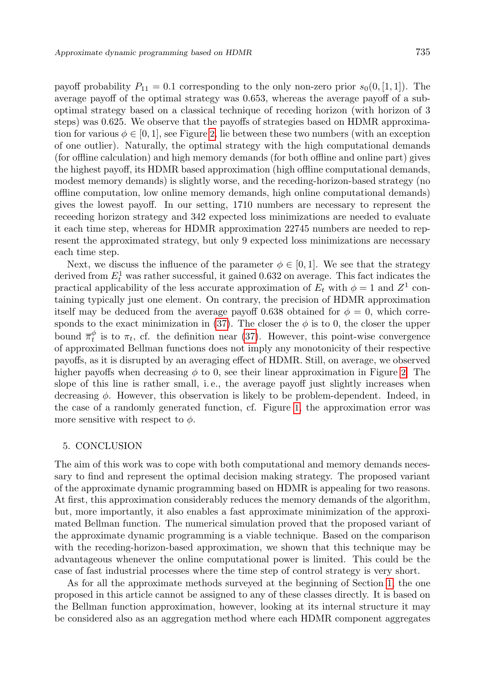payoff probability  $P_{11} = 0.1$  corresponding to the only non-zero prior  $s_0(0, [1, 1])$ . The average payoff of the optimal strategy was 0.653, whereas the average payoff of a suboptimal strategy based on a classical technique of receding horizon (with horizon of 3 steps) was 0.625. We observe that the payoffs of strategies based on HDMR approximation for various  $\phi \in [0, 1]$ , see Figure [2](#page-13-0), lie between these two numbers (with an exception of one outlier). Naturally, the optimal strategy with the high computational demands (for offline calculation) and high memory demands (for both offline and online part) gives the highest payoff, its HDMR based approximation (high offline computational demands, modest memory demands) is slightly worse, and the receding-horizon-based strategy (no offline computation, low online memory demands, high online computational demands) gives the lowest payoff. In our setting, 1710 numbers are necessary to represent the receeding horizon strategy and 342 expected loss minimizations are needed to evaluate it each time step, whereas for HDMR approximation 22745 numbers are needed to represent the approximated strategy, but only 9 expected loss minimizations are necessary each time step.

Next, we discuss the influence of the parameter  $\phi \in [0,1]$ . We see that the strategy derived from  $E_t^1$  was rather successful, it gained 0.632 on average. This fact indicates the practical applicability of the less accurate approximation of  $E_t$  with  $\phi = 1$  and  $Z^1$  containing typically just one element. On contrary, the precision of HDMR approximation itself may be deduced from the average payoff 0.638 obtained for  $\phi = 0$ , which corre-sponds to the exact minimization in [\(37\)](#page-11-0). The closer the  $\phi$  is to 0, the closer the upper bound  $\bar{\pi}^{\phi}_t$  is to  $\pi_t$ , cf. the definition near [\(37\)](#page-11-0). However, this point-wise convergence of approximated Bellman functions does not imply any monotonicity of their respective payoffs, as it is disrupted by an averaging effect of HDMR. Still, on average, we observed higher payoffs when decreasing  $\phi$  to 0, see their linear approximation in Figure [2](#page-13-0). The slope of this line is rather small, i.e., the average payoff just slightly increases when decreasing  $\phi$ . However, this observation is likely to be problem-dependent. Indeed, in the case of a randomly generated function, cf. Figure [1](#page-8-0), the approximation error was more sensitive with respect to  $\phi$ .

### <span id="page-15-0"></span>5. CONCLUSION

The aim of this work was to cope with both computational and memory demands necessary to find and represent the optimal decision making strategy. The proposed variant of the approximate dynamic programming based on HDMR is appealing for two reasons. At first, this approximation considerably reduces the memory demands of the algorithm, but, more importantly, it also enables a fast approximate minimization of the approximated Bellman function. The numerical simulation proved that the proposed variant of the approximate dynamic programming is a viable technique. Based on the comparison with the receding-horizon-based approximation, we shown that this technique may be advantageous whenever the online computational power is limited. This could be the case of fast industrial processes where the time step of control strategy is very short.

As for all the approximate methods surveyed at the beginning of Section [1,](#page-0-0) the one proposed in this article cannot be assigned to any of these classes directly. It is based on the Bellman function approximation, however, looking at its internal structure it may be considered also as an aggregation method where each HDMR component aggregates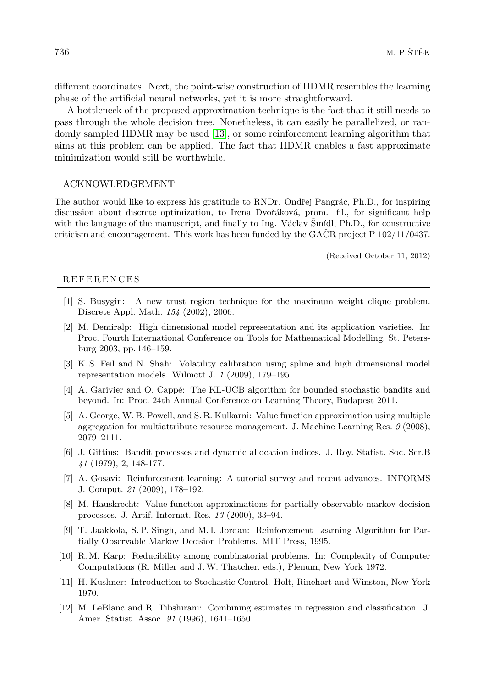different coordinates. Next, the point-wise construction of HDMR resembles the learning phase of the artificial neural networks, yet it is more straightforward.

A bottleneck of the proposed approximation technique is the fact that it still needs to pass through the whole decision tree. Nonetheless, it can easily be parallelized, or randomly sampled HDMR may be used [\[13\]](#page-17-14), or some reinforcement learning algorithm that aims at this problem can be applied. The fact that HDMR enables a fast approximate minimization would still be worthwhile.

### ACKNOWLEDGEMENT

The author would like to express his gratitude to RNDr. Ondřej Pangrác, Ph.D., for inspiring discussion about discrete optimization, to Irena Dvořáková, prom. fil., for significant help with the language of the manuscript, and finally to Ing. Václav  $\text{Sm}(d)$ , Ph.D., for constructive criticism and encouragement. This work has been funded by the GACR project  $P$  102/11/0437.

(Received October 11, 2012)

#### **REFERENCES**

- <span id="page-16-9"></span>[1] S. Busygin: A new trust region technique for the maximum weight clique problem. Discrete Appl. Math. 154 (2002), 2006.
- <span id="page-16-7"></span>[2] M. Demiralp: High dimensional model representation and its application varieties. In: Proc. Fourth International Conference on Tools for Mathematical Modelling, St. Petersburg 2003, pp. 146–159.
- <span id="page-16-6"></span>[3] K. S. Feil and N. Shah: Volatility calibration using spline and high dimensional model representation models. Wilmott J. 1 (2009), 179–195.
- <span id="page-16-10"></span>[4] A. Garivier and O. Cappé: The KL-UCB algorithm for bounded stochastic bandits and beyond. In: Proc. 24th Annual Conference on Learning Theory, Budapest 2011.
- <span id="page-16-1"></span>[5] A. George, W. B. Powell, and S. R. Kulkarni: Value function approximation using multiple aggregation for multiattribute resource management. J. Machine Learning Res. 9 (2008), 2079–2111.
- <span id="page-16-11"></span>[6] J. Gittins: Bandit processes and dynamic allocation indices. J. Roy. Statist. Soc. Ser.B 41 (1979), 2, 148-177.
- <span id="page-16-4"></span>[7] A. Gosavi: Reinforcement learning: A tutorial survey and recent advances. INFORMS J. Comput. 21 (2009), 178–192.
- <span id="page-16-2"></span>[8] M. Hauskrecht: Value-function approximations for partially observable markov decision processes. J. Artif. Internat. Res. 13 (2000), 33–94.
- <span id="page-16-5"></span>[9] T. Jaakkola, S. P. Singh, and M. I. Jordan: Reinforcement Learning Algorithm for Partially Observable Markov Decision Problems. MIT Press, 1995.
- <span id="page-16-8"></span>[10] R. M. Karp: Reducibility among combinatorial problems. In: Complexity of Computer Computations (R. Miller and J.W. Thatcher, eds.), Plenum, New York 1972.
- <span id="page-16-0"></span>[11] H. Kushner: Introduction to Stochastic Control. Holt, Rinehart and Winston, New York 1970.
- <span id="page-16-3"></span>[12] M. LeBlanc and R. Tibshirani: Combining estimates in regression and classification. J. Amer. Statist. Assoc. 91 (1996), 1641–1650.